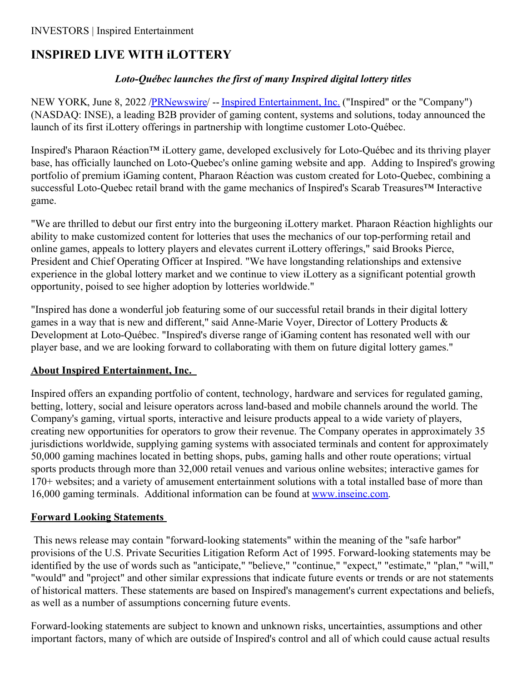# **INSPIRED LIVE WITH iLOTTERY**

## *Loto-Québec launches the first of many Inspired digital lottery titles*

NEW YORK, June 8, 2022 [/PRNewswire](http://www.prnewswire.com/)/ -- Inspired [Entertainment,](https://c212.net/c/link/?t=0&l=en&o=3561341-1&h=4146412560&u=https%3A%2F%2Fcan01.safelinks.protection.outlook.com%2F%3Furl%3Dhttp%253A%252F%252Fwww.inseinc.com%252F%26data%3D04%257C01%257CJo-Anna.Gariepy%2540loto-quebec.com%257C0ab24d66d13847e5a16208d99271e22c%257Cbfce736f4ddc47c19e1a8c65ad1ac9c6%257C0%257C0%257C637701840084393552%257CUnknown%257CTWFpbGZsb3d8eyJWIjoiMC4wLjAwMDAiLCJQIjoiV2luMzIiLCJBTiI6Ik1haWwiLCJXVCI6Mn0%253D%257C1000%26sdata%3DJReNKtyynBa0TBA0HgDVUs1xtLMJlzG6eGPNRtKLZg8%253D%26reserved%3D0&a=Inspired+Entertainment%2C+Inc.) Inc. ("Inspired" or the "Company") (NASDAQ: INSE), a leading B2B provider of gaming content, systems and solutions, today announced the launch of its first iLottery offerings in partnership with longtime customer Loto-Québec.

Inspired's Pharaon Réaction™ iLottery game, developed exclusively for Loto-Québec and its thriving player base, has officially launched on Loto-Quebec's online gaming website and app. Adding to Inspired's growing portfolio of premium iGaming content, Pharaon Réaction was custom created for Loto-Quebec, combining a successful Loto-Quebec retail brand with the game mechanics of Inspired's Scarab Treasures™ Interactive game.

"We are thrilled to debut our first entry into the burgeoning iLottery market. Pharaon Réaction highlights our ability to make customized content for lotteries that uses the mechanics of our top-performing retail and online games, appeals to lottery players and elevates current iLottery offerings," said Brooks Pierce, President and Chief Operating Officer at Inspired. "We have longstanding relationships and extensive experience in the global lottery market and we continue to view iLottery as a significant potential growth opportunity, poised to see higher adoption by lotteries worldwide."

"Inspired has done a wonderful job featuring some of our successful retail brands in their digital lottery games in a way that is new and different," said Anne-Marie Voyer, Director of Lottery Products & Development at Loto-Québec. "Inspired's diverse range of iGaming content has resonated well with our player base, and we are looking forward to collaborating with them on future digital lottery games."

### **About Inspired Entertainment, Inc.**

Inspired offers an expanding portfolio of content, technology, hardware and services for regulated gaming, betting, lottery, social and leisure operators across land-based and mobile channels around the world. The Company's gaming, virtual sports, interactive and leisure products appeal to a wide variety of players, creating new opportunities for operators to grow their revenue. The Company operates in approximately 35 jurisdictions worldwide, supplying gaming systems with associated terminals and content for approximately 50,000 gaming machines located in betting shops, pubs, gaming halls and other route operations; virtual sports products through more than 32,000 retail venues and various online websites; interactive games for 170+ websites; and a variety of amusement entertainment solutions with a total installed base of more than 16,000 gaming terminals. Additional information can be found at [www.inseinc.com](https://c212.net/c/link/?t=0&l=en&o=3561341-1&h=2024934415&u=https%3A%2F%2Fcan01.safelinks.protection.outlook.com%2F%3Furl%3Dhttp%253A%252F%252Fwww.inseinc.com%252F%26data%3D04%257C01%257CJo-Anna.Gariepy%2540loto-quebec.com%257C0ab24d66d13847e5a16208d99271e22c%257Cbfce736f4ddc47c19e1a8c65ad1ac9c6%257C0%257C0%257C637701840084403515%257CUnknown%257CTWFpbGZsb3d8eyJWIjoiMC4wLjAwMDAiLCJQIjoiV2luMzIiLCJBTiI6Ik1haWwiLCJXVCI6Mn0%253D%257C1000%26sdata%3D49r73XNi%252FAwuNY0X3GfvxRooNnVeKF%252FI47r2GB5Tf%252Bw%253D%26reserved%3D0&a=www.inseinc.com).

### **Forward Looking Statements**

This news release may contain "forward-looking statements" within the meaning of the "safe harbor" provisions of the U.S. Private Securities Litigation Reform Act of 1995. Forward-looking statements may be identified by the use of words such as "anticipate," "believe," "continue," "expect," "estimate," "plan," "will," "would" and "project" and other similar expressions that indicate future events or trends or are not statements of historical matters. These statements are based on Inspired's management's current expectations and beliefs, as well as a number of assumptions concerning future events.

Forward-looking statements are subject to known and unknown risks, uncertainties, assumptions and other important factors, many of which are outside of Inspired's control and all of which could cause actual results